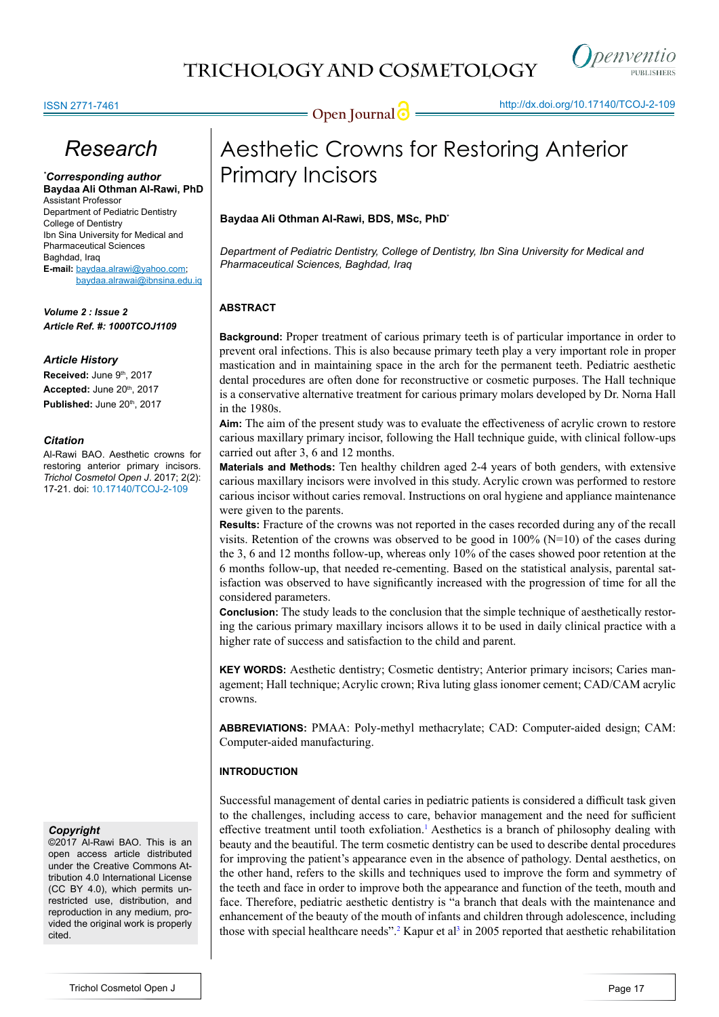

### ISSN 2771-7461

# *Research*

*\* Corresponding author* **Baydaa Ali Othman Al-Rawi, PhD** Assistant Professor Department of Pediatric Dentistry College of Dentistry Ibn Sina University for Medical and Pharmaceutical Sciences Baghdad, Iraq **E-mail:** baydaa.alrawi@yahoo.com; baydaa.alrawai@ibnsina.edu.iq

*Volume 2 : Issue 2 Article Ref. #: 1000TCOJ1109*

#### *Article History*

Received: June 9<sup>th</sup>, 2017 Accepted: June 20<sup>th</sup>, 2017 **Published:** June 20th, 2017

#### *Citation*

Al-Rawi BAO. Aesthetic crowns for restoring anterior primary incisors. *Trichol Cosmetol Open J*. 2017; 2(2): 17-21. doi: [10.17140/TCOJ-2-109](http://dx.doi.org/10.17140/TCOJ-2-109)

## *Copyright*

©2017 Al-Rawi BAO. This is an open access article distributed under the Creative Commons Attribution 4.0 International License (CC BY 4.0), which permits unrestricted use, distribution, and reproduction in any medium, provided the original work is properly cited

# Aesthetic Crowns for Restoring Anterior Primary Incisors

## **Baydaa Ali Othman Al-Rawi, BDS, MSc, PhD\***

*Department of Pediatric Dentistry, College of Dentistry, Ibn Sina University for Medical and Pharmaceutical Sciences, Baghdad, Iraq*

# **ABSTRACT**

**Background:** Proper treatment of carious primary teeth is of particular importance in order to prevent oral infections. This is also because primary teeth play a very important role in proper mastication and in maintaining space in the arch for the permanent teeth. Pediatric aesthetic dental procedures are often done for reconstructive or cosmetic purposes. The Hall technique is a conservative alternative treatment for carious primary molars developed by Dr. Norna Hall in the 1980s.

**Aim:** The aim of the present study was to evaluate the effectiveness of acrylic crown to restore carious maxillary primary incisor, following the Hall technique guide, with clinical follow-ups carried out after 3, 6 and 12 months.

**Materials and Methods:** Ten healthy children aged 2-4 years of both genders, with extensive carious maxillary incisors were involved in this study. Acrylic crown was performed to restore carious incisor without caries removal. Instructions on oral hygiene and appliance maintenance were given to the parents.

**Results:** Fracture of the crowns was not reported in the cases recorded during any of the recall visits. Retention of the crowns was observed to be good in  $100\%$  (N=10) of the cases during the 3, 6 and 12 months follow-up, whereas only 10% of the cases showed poor retention at the 6 months follow-up, that needed re-cementing. Based on the statistical analysis, parental satisfaction was observed to have significantly increased with the progression of time for all the considered parameters.

**Conclusion:** The study leads to the conclusion that the simple technique of aesthetically restoring the carious primary maxillary incisors allows it to be used in daily clinical practice with a higher rate of success and satisfaction to the child and parent.

**KEY WORDS:** Aesthetic dentistry; Cosmetic dentistry; Anterior primary incisors; Caries management; Hall technique; Acrylic crown; Riva luting glass ionomer cement; CAD/CAM acrylic crowns.

**ABBREVIATIONS:** PMAA: Poly-methyl methacrylate; CAD: Computer-aided design; CAM: Computer-aided manufacturing.

## **INTRODUCTION**

Successful management of dental caries in pediatric patients is considered a difficult task given to the challenges, including access to care, behavior management and the need for sufficient effective treatment until tooth exfoliation.<sup>[1](#page-4-0)</sup> Aesthetics is a branch of philosophy dealing with beauty and the beautiful. The term cosmetic dentistry can be used to describe dental procedures for improving the patient's appearance even in the absence of pathology. Dental aesthetics, on the other hand, refers to the skills and techniques used to improve the form and symmetry of the teeth and face in order to improve both the appearance and function of the teeth, mouth and face. Therefore, pediatric aesthetic dentistry is "a branch that deals with the maintenance and enhancement of the beauty of the mouth of infants and children through adolescence, including those with special healthcare needs".<sup>[2](#page-4-1)</sup> Kapur et al<sup>3</sup> in 2005 reported that aesthetic rehabilitation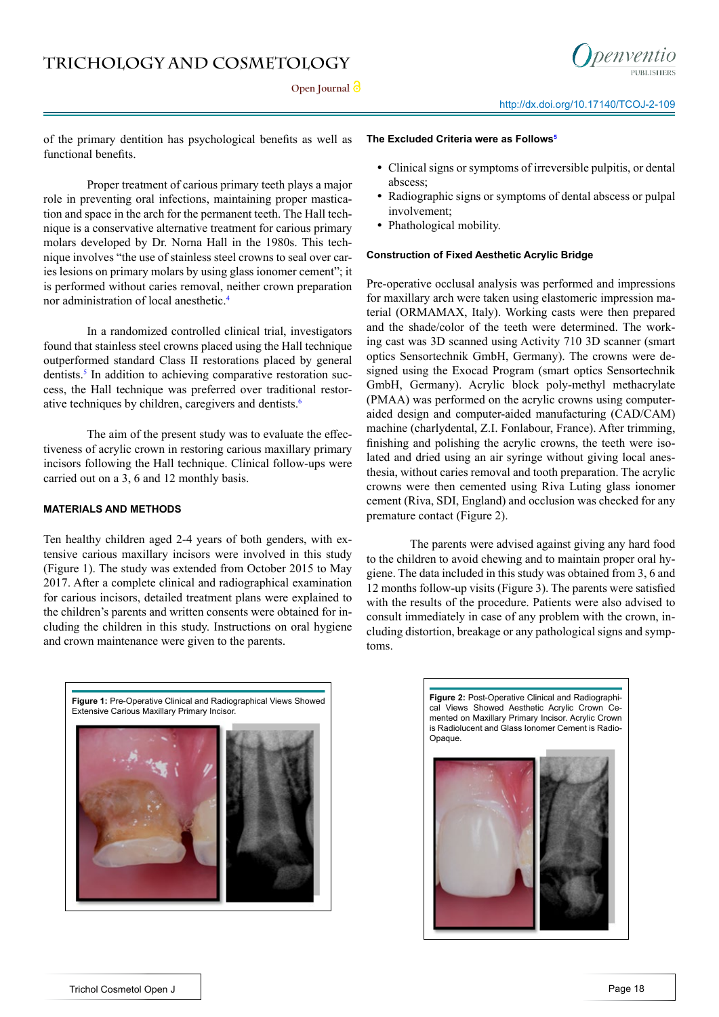Open **Journal** *O* 



of the primary dentition has psychological benefits as well as functional benefits.

Proper treatment of carious primary teeth plays a major role in preventing oral infections, maintaining proper mastication and space in the arch for the permanent teeth. The Hall technique is a conservative alternative treatment for carious primary molars developed by Dr. Norna Hall in the 1980s. This technique involves "the use of stainless steel crowns to seal over caries lesions on primary molars by using glass ionomer cement"; it is performed without caries removal, neither crown preparation nor administration of local anesthetic[.4](#page-4-3)

In a randomized controlled clinical trial, investigators found that stainless steel crowns placed using the Hall technique outperformed standard Class II restorations placed by general dentists.<sup>5</sup> In addition to achieving comparative restoration success, the Hall technique was preferred over traditional restorative techniques by children, caregivers and dentists.<sup>6</sup>

The aim of the present study was to evaluate the effectiveness of acrylic crown in restoring carious maxillary primary incisors following the Hall technique. Clinical follow-ups were carried out on a 3, 6 and 12 monthly basis.

### **MATERIALS AND METHODS**

Ten healthy children aged 2-4 years of both genders, with extensive carious maxillary incisors were involved in this study (Figure 1). The study was extended from October 2015 to May 2017. After a complete clinical and radiographical examination for carious incisors, detailed treatment plans were explained to the children's parents and written consents were obtained for including the children in this study. Instructions on oral hygiene and crown maintenance were given to the parents.

#### **The Excluded Criteria were as Follows[5](#page-4-4)**

- **•** Clinical signs or symptoms of irreversible pulpitis, or dental abscess;
- **•** Radiographic signs or symptoms of dental abscess or pulpal involvement;
- **•** Phathological mobility.

#### **Construction of Fixed Aesthetic Acrylic Bridge**

Pre-operative occlusal analysis was performed and impressions for maxillary arch were taken using elastomeric impression material (ORMAMAX, Italy). Working casts were then prepared and the shade/color of the teeth were determined. The working cast was 3D scanned using Activity 710 3D scanner (smart optics Sensortechnik GmbH, Germany). The crowns were designed using the Exocad Program (smart optics Sensortechnik GmbH, Germany). Acrylic block poly-methyl methacrylate (PMAA) was performed on the acrylic crowns using computeraided design and computer-aided manufacturing (CAD/CAM) machine (charlydental, Z.I. Fonlabour, France). After trimming, finishing and polishing the acrylic crowns, the teeth were isolated and dried using an air syringe without giving local anesthesia, without caries removal and tooth preparation. The acrylic crowns were then cemented using Riva Luting glass ionomer cement (Riva, SDI, England) and occlusion was checked for any premature contact [\(Figure](https://www.ncbi.nlm.nih.gov/pmc/articles/PMC3703039/figure/BCR2013009585F3/) 2).

The parents were advised against giving any hard food to the children to avoid chewing and to maintain proper oral hygiene. The data included in this study was obtained from 3, 6 and 12 months follow-up visits (Figure 3). The parents were satisfied with the results of the procedure. Patients were also advised to consult immediately in case of any problem with the crown, including distortion, breakage or any pathological signs and symptoms.



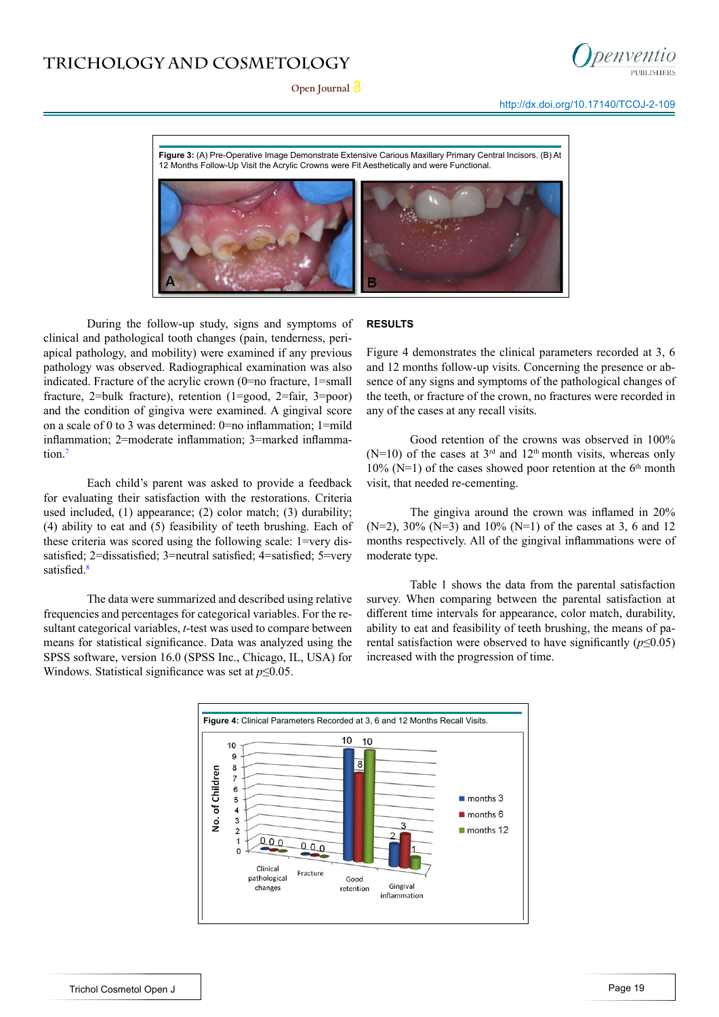



http://dx.doi.org/[10.17140/TCOJ-2-109](http://dx.doi.org/10.17140/TCOJ-2-109)

**Figure 3:** (A) Pre-Operative Image Demonstrate Extensive Carious Maxillary Primary Central Incisors. (B) At 12 Months Follow-Up Visit the Acrylic Crowns were Fit Aesthetically and were Functional.



During the follow-up study, signs and symptoms of clinical and pathological tooth changes (pain, tenderness, periapical pathology, and mobility) were examined if any previous pathology was observed. Radiographical examination was also indicated. Fracture of the acrylic crown (0=no fracture, 1=small fracture, 2=bulk fracture), retention (1=good, 2=fair, 3=poor) and the condition of gingiva were examined. A gingival score on a scale of 0 to 3 was determined: 0=no inflammation; 1=mild inflammation; 2=moderate inflammation; 3=marked inflammation[.7](#page-4-6)

Each child's parent was asked to provide a feedback for evaluating their satisfaction with the restorations. Criteria used included, (1) appearance; (2) color match; (3) durability; (4) ability to eat and (5) feasibility of teeth brushing. Each of these criteria was scored using the following scale: 1=very dissatisfied; 2=dissatisfied; 3=neutral satisfied; 4=satisfied; 5=very satisfied.<sup>[8](#page-4-7)</sup>

The data were summarized and described using relative frequencies and percentages for categorical variables. For the resultant categorical variables, *t*-test was used to compare between means for statistical significance. Data was analyzed using the SPSS software, version 16.0 (SPSS Inc., Chicago, IL, USA) for Windows. Statistical significance was set at *p*≤0.05.

## **RESULTS**

Figure 4 demonstrates the clinical parameters recorded at 3, 6 and 12 months follow-up visits. Concerning the presence or absence of any signs and symptoms of the pathological changes of the teeth, or fracture of the crown, no fractures were recorded in any of the cases at any recall visits.

Good retention of the crowns was observed in 100% (N=10) of the cases at  $3<sup>rd</sup>$  and  $12<sup>th</sup>$  month visits, whereas only 10% (N=1) of the cases showed poor retention at the  $6<sup>th</sup>$  month visit, that needed re-cementing.

The gingiva around the crown was inflamed in 20%  $(N=2)$ , 30%  $(N=3)$  and 10%  $(N=1)$  of the cases at 3, 6 and 12 months respectively. All of the gingival inflammations were of moderate type.

Table 1 shows the data from the parental satisfaction survey. When comparing between the parental satisfaction at different time intervals for appearance, color match, durability, ability to eat and feasibility of teeth brushing, the means of parental satisfaction were observed to have significantly (*p*≤0.05) increased with the progression of time.

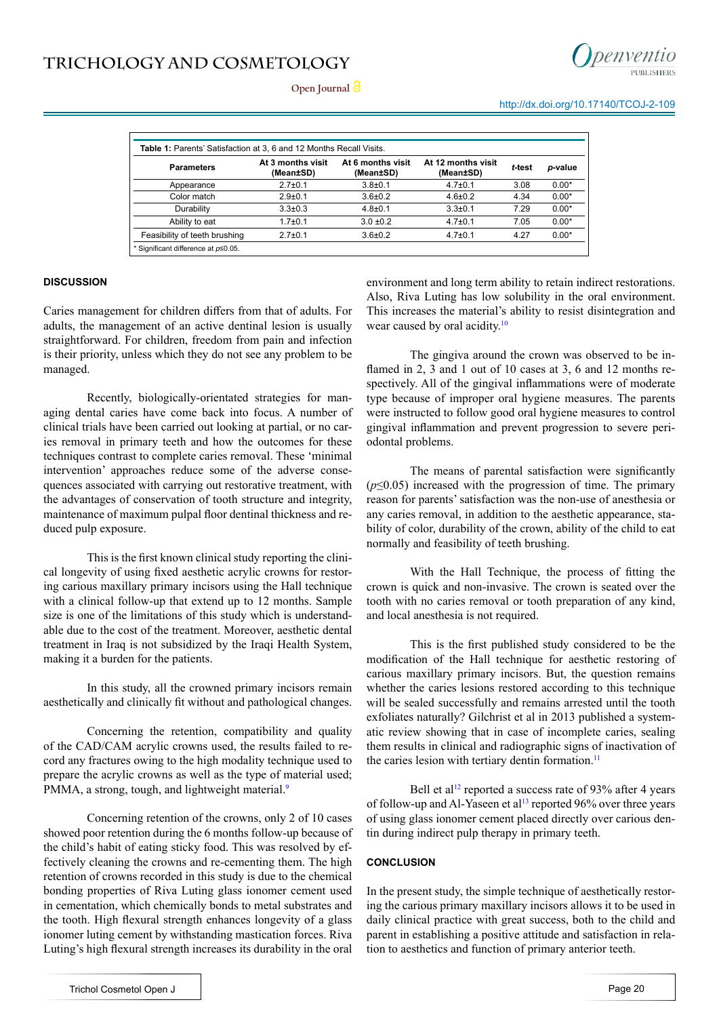



| <b>Parameters</b>             | At 3 months visit<br>(Mean±SD) | At 6 months visit<br>(Mean±SD) | At 12 months visit<br>(Mean±SD) | t-test | p-value |
|-------------------------------|--------------------------------|--------------------------------|---------------------------------|--------|---------|
| Appearance                    | $2.7 \pm 0.1$                  | $3.8 \pm 0.1$                  | $4.7 \pm 0.1$                   | 3.08   | $0.00*$ |
| Color match                   | $2.9 + 0.1$                    | $3.6 \pm 0.2$                  | $4.6 \pm 0.2$                   | 4.34   | $0.00*$ |
| Durability                    | $3.3 \pm 0.3$                  | $4.8 \pm 0.1$                  | $3.3 \pm 0.1$                   | 7.29   | $0.00*$ |
| Ability to eat                | $1.7 \pm 0.1$                  | $3.0 \pm 0.2$                  | $4.7 \pm 0.1$                   | 7.05   | $0.00*$ |
| Feasibility of teeth brushing | $2.7 \pm 0.1$                  | $3.6 \pm 0.2$                  | $4.7 \pm 0.1$                   | 4.27   | $0.00*$ |

#### **DISCUSSION**

Caries management for children differs from that of adults. For adults, the management of an active dentinal lesion is usually straightforward. For children, freedom from pain and infection is their priority, unless which they do not see any problem to be managed.

Recently, biologically-orientated strategies for managing dental caries have come back into focus. A number of clinical trials have been carried out looking at partial, or no caries removal in primary teeth and how the outcomes for these techniques contrast to complete caries removal. These 'minimal intervention' approaches reduce some of the adverse consequences associated with carrying out restorative treatment, with the advantages of conservation of tooth structure and integrity, maintenance of maximum pulpal floor dentinal thickness and reduced pulp exposure.

This is the first known clinical study reporting the clinical longevity of using fixed aesthetic acrylic crowns for restoring carious maxillary primary incisors using the Hall technique with a clinical follow-up that extend up to 12 months. Sample size is one of the limitations of this study which is understandable due to the cost of the treatment. Moreover, aesthetic dental treatment in Iraq is not subsidized by the Iraqi Health System, making it a burden for the patients.

In this study, all the crowned primary incisors remain aesthetically and clinically fit without and pathological changes.

Concerning the retention, compatibility and quality of the CAD/CAM acrylic crowns used, the results failed to record any fractures owing to the high modality technique used to prepare the acrylic crowns as well as the type of material used; PMMA, a strong, tough, and lightweight material.<sup>[9](#page-4-8)</sup>

Concerning retention of the crowns, only 2 of 10 cases showed poor retention during the 6 months follow-up because of the child's habit of eating sticky food. This was resolved by effectively cleaning the crowns and re-cementing them. The high retention of crowns recorded in this study is due to the chemical bonding properties of Riva Luting glass ionomer cement used in cementation, which chemically bonds to metal substrates and the tooth. High flexural strength enhances longevity of a glass ionomer luting cement by withstanding mastication forces. Riva Luting's high flexural strength increases its durability in the oral

environment and long term ability to retain indirect restorations. Also, Riva Luting has low solubility in the oral environment. This increases the material's ability to resist disintegration and wear caused by oral acidity.<sup>[10](#page-4-9)</sup>

The gingiva around the crown was observed to be inflamed in 2, 3 and 1 out of 10 cases at 3, 6 and 12 months respectively. All of the gingival inflammations were of moderate type because of improper oral hygiene measures. The parents were instructed to follow good oral hygiene measures to control gingival inflammation and prevent progression to severe periodontal problems.

The means of parental satisfaction were significantly (*p*≤0.05) increased with the progression of time. The primary reason for parents' satisfaction was the non-use of anesthesia or any caries removal, in addition to the aesthetic appearance, stability of color, durability of the crown, ability of the child to eat normally and feasibility of teeth brushing.

With the Hall Technique, the process of fitting the crown is quick and non-invasive. The crown is seated over the tooth with no caries removal or tooth preparation of any kind, and local anesthesia is not required.

This is the first published study considered to be the modification of the Hall technique for aesthetic restoring of carious maxillary primary incisors. But, the question remains whether the caries lesions restored according to this technique will be sealed successfully and remains arrested until the tooth exfoliates naturally? Gilchrist et al in 2013 published a systematic review showing that in case of incomplete caries, sealing them results in clinical and radiographic signs of inactivation of the caries lesion with tertiary dentin formation.<sup>[11](#page-4-10)</sup>

Bell et al<sup>12</sup> reported a success rate of 93% after 4 years of follow-up and Al-Yaseen et al<sup>13</sup> reported 96% over three years of using glass ionomer cement placed directly over carious dentin during indirect pulp therapy in primary teeth.

#### **CONCLUSION**

In the present study, the simple technique of aesthetically restoring the carious primary maxillary incisors allows it to be used in daily clinical practice with great success, both to the child and parent in establishing a positive attitude and satisfaction in relation to aesthetics and function of primary anterior teeth.